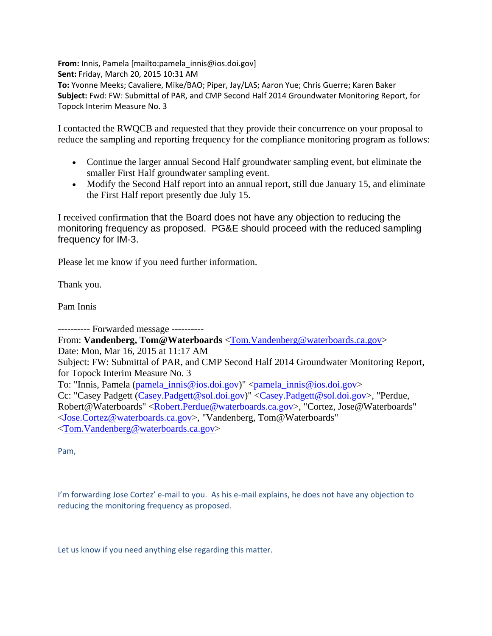**From:** Innis, Pamela [mailto:pamela\_innis@ios.doi.gov] **Sent:** Friday, March 20, 2015 10:31 AM **To:** Yvonne Meeks; Cavaliere, Mike/BAO; Piper, Jay/LAS; Aaron Yue; Chris Guerre; Karen Baker **Subject:** Fwd: FW: Submittal of PAR, and CMP Second Half 2014 Groundwater Monitoring Report, for Topock Interim Measure No. 3

I contacted the RWQCB and requested that they provide their concurrence on your proposal to reduce the sampling and reporting frequency for the compliance monitoring program as follows:

- Continue the larger annual Second Half groundwater sampling event, but eliminate the smaller First Half groundwater sampling event.
- Modify the Second Half report into an annual report, still due January 15, and eliminate the First Half report presently due July 15.

I received confirmation that the Board does not have any objection to reducing the monitoring frequency as proposed. PG&E should proceed with the reduced sampling frequency for IM-3.

Please let me know if you need further information.

Thank you.

Pam Innis

---------- Forwarded message ---------- From: **Vandenberg, Tom@Waterboards** <Tom.Vandenberg@waterboards.ca.gov> Date: Mon, Mar 16, 2015 at 11:17 AM Subject: FW: Submittal of PAR, and CMP Second Half 2014 Groundwater Monitoring Report, for Topock Interim Measure No. 3 To: "Innis, Pamela (pamela\_innis@ios.doi.gov)" <pamela\_innis@ios.doi.gov> Cc: "Casey Padgett (Casey.Padgett@sol.doi.gov)" <Casey.Padgett@sol.doi.gov>, "Perdue, Robert@Waterboards" <Robert.Perdue@waterboards.ca.gov>, "Cortez, Jose@Waterboards" <Jose.Cortez@waterboards.ca.gov>, "Vandenberg, Tom@Waterboards" <Tom.Vandenberg@waterboards.ca.gov>

Pam,

I'm forwarding Jose Cortez' e-mail to you. As his e-mail explains, he does not have any objection to reducing the monitoring frequency as proposed.

Let us know if you need anything else regarding this matter.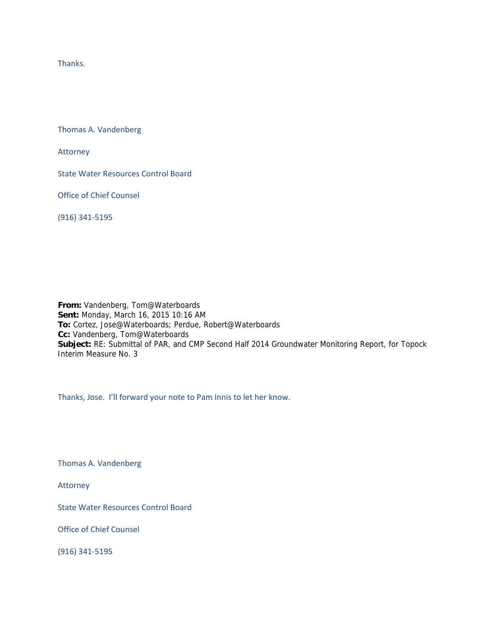Thanks.

Thomas A. Vandenberg

Attorney

State Water Resources Control Board

Office of Chief Counsel

(916) 341‐5195

**From:** Vandenberg, Tom@Waterboards **Sent:** Monday, March 16, 2015 10:16 AM **To:** Cortez, Jose@Waterboards; Perdue, Robert@Waterboards **Cc:** Vandenberg, Tom@Waterboards **Subject:** RE: Submittal of PAR, and CMP Second Half 2014 Groundwater Monitoring Report, for Topock Interim Measure No. 3

Thanks, Jose. I'll forward your note to Pam Innis to let her know.

Thomas A. Vandenberg

Attorney

State Water Resources Control Board

Office of Chief Counsel

(916) 341‐5195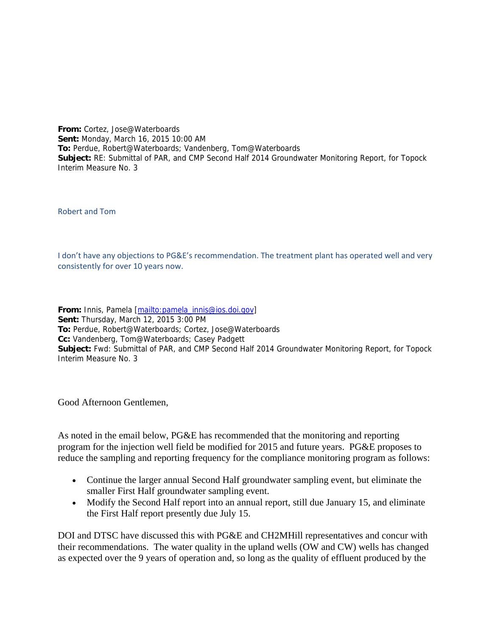**From:** Cortez, Jose@Waterboards **Sent:** Monday, March 16, 2015 10:00 AM **To:** Perdue, Robert@Waterboards; Vandenberg, Tom@Waterboards **Subject:** RE: Submittal of PAR, and CMP Second Half 2014 Groundwater Monitoring Report, for Topock Interim Measure No. 3

Robert and Tom

I don't have any objections to PG&E's recommendation. The treatment plant has operated well and very consistently for over 10 years now.

**From:** Innis, Pamela [mailto:pamela\_innis@ios.doi.gov] **Sent:** Thursday, March 12, 2015 3:00 PM **To:** Perdue, Robert@Waterboards; Cortez, Jose@Waterboards **Cc:** Vandenberg, Tom@Waterboards; Casey Padgett **Subject:** Fwd: Submittal of PAR, and CMP Second Half 2014 Groundwater Monitoring Report, for Topock Interim Measure No. 3

Good Afternoon Gentlemen,

As noted in the email below, PG&E has recommended that the monitoring and reporting program for the injection well field be modified for 2015 and future years. PG&E proposes to reduce the sampling and reporting frequency for the compliance monitoring program as follows:

- Continue the larger annual Second Half groundwater sampling event, but eliminate the smaller First Half groundwater sampling event.
- Modify the Second Half report into an annual report, still due January 15, and eliminate the First Half report presently due July 15.

DOI and DTSC have discussed this with PG&E and CH2MHill representatives and concur with their recommendations. The water quality in the upland wells (OW and CW) wells has changed as expected over the 9 years of operation and, so long as the quality of effluent produced by the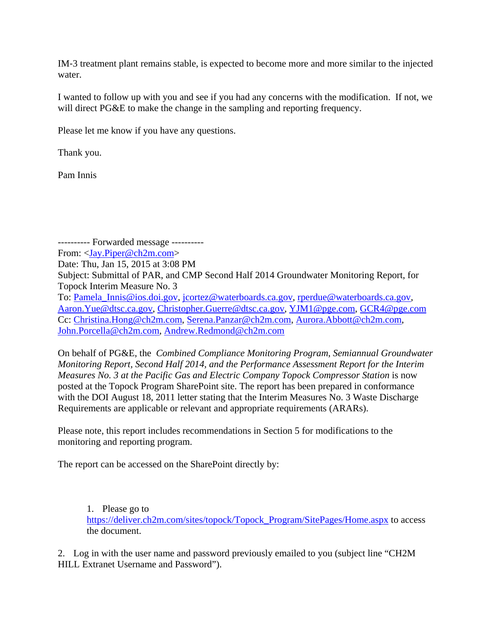IM‐3 treatment plant remains stable, is expected to become more and more similar to the injected water.

I wanted to follow up with you and see if you had any concerns with the modification. If not, we will direct PG&E to make the change in the sampling and reporting frequency.

Please let me know if you have any questions.

Thank you.

Pam Innis

---------- Forwarded message ---------- From: <Jay.Piper@ch2m.com> Date: Thu, Jan 15, 2015 at 3:08 PM Subject: Submittal of PAR, and CMP Second Half 2014 Groundwater Monitoring Report, for Topock Interim Measure No. 3 To: Pamela Innis@ios.doi.gov, jcortez@waterboards.ca.gov, rperdue@waterboards.ca.gov, Aaron.Yue@dtsc.ca.gov, Christopher.Guerre@dtsc.ca.gov, YJM1@pge.com, GCR4@pge.com Cc: Christina.Hong@ch2m.com, Serena.Panzar@ch2m.com, Aurora.Abbott@ch2m.com, John.Porcella@ch2m.com, Andrew.Redmond@ch2m.com

On behalf of PG&E, the *Combined Compliance Monitoring Program*, *Semiannual Groundwater Monitoring Report, Second Half 2014, and the Performance Assessment Report for the Interim Measures No. 3 at the Pacific Gas and Electric Company Topock Compressor Station* is now posted at the Topock Program SharePoint site. The report has been prepared in conformance with the DOI August 18, 2011 letter stating that the Interim Measures No. 3 Waste Discharge Requirements are applicable or relevant and appropriate requirements (ARARs).

Please note, this report includes recommendations in Section 5 for modifications to the monitoring and reporting program.

The report can be accessed on the SharePoint directly by:

1. Please go to https://deliver.ch2m.com/sites/topock/Topock\_Program/SitePages/Home.aspx to access the document.

2. Log in with the user name and password previously emailed to you (subject line "CH2M HILL Extranet Username and Password").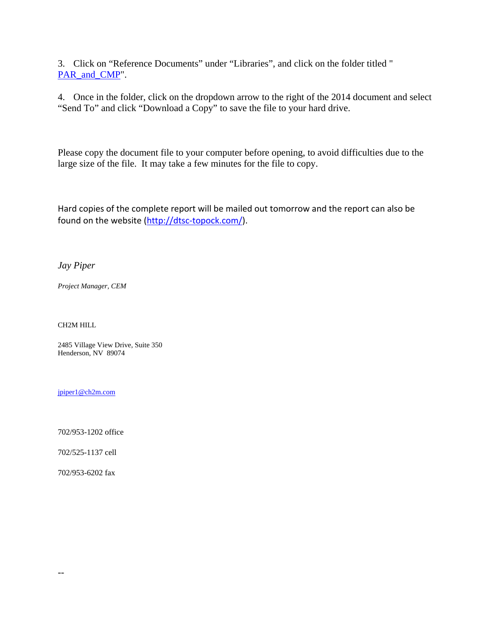3. Click on "Reference Documents" under "Libraries", and click on the folder titled " PAR\_and\_CMP".

4. Once in the folder, click on the dropdown arrow to the right of the 2014 document and select "Send To" and click "Download a Copy" to save the file to your hard drive.

Please copy the document file to your computer before opening, to avoid difficulties due to the large size of the file. It may take a few minutes for the file to copy.

Hard copies of the complete report will be mailed out tomorrow and the report can also be found on the website (http://dtsc-topock.com/).

*Jay Piper*

*Project Manager, CEM*

CH2M HILL

2485 Village View Drive, Suite 350 Henderson, NV 89074

jpiper1@ch2m.com

702/953-1202 office

702/525-1137 cell

702/953-6202 fax